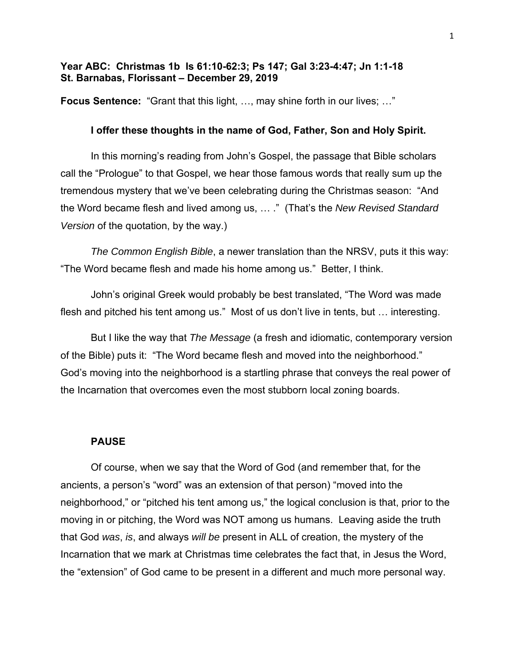# **Year ABC: Christmas 1b Is 61:10-62:3; Ps 147; Gal 3:23-4:47; Jn 1:1-18 St. Barnabas, Florissant – December 29, 2019**

**Focus Sentence:** "Grant that this light, …, may shine forth in our lives; …"

## **I offer these thoughts in the name of God, Father, Son and Holy Spirit.**

In this morning's reading from John's Gospel, the passage that Bible scholars call the "Prologue" to that Gospel, we hear those famous words that really sum up the tremendous mystery that we've been celebrating during the Christmas season: "And the Word became flesh and lived among us, … ." (That's the *New Revised Standard Version* of the quotation, by the way.)

*The Common English Bible*, a newer translation than the NRSV, puts it this way: "The Word became flesh and made his home among us." Better, I think.

John's original Greek would probably be best translated, "The Word was made flesh and pitched his tent among us." Most of us don't live in tents, but … interesting.

But I like the way that *The Message* (a fresh and idiomatic, contemporary version of the Bible) puts it: "The Word became flesh and moved into the neighborhood." God's moving into the neighborhood is a startling phrase that conveys the real power of the Incarnation that overcomes even the most stubborn local zoning boards.

#### **PAUSE**

Of course, when we say that the Word of God (and remember that, for the ancients, a person's "word" was an extension of that person) "moved into the neighborhood," or "pitched his tent among us," the logical conclusion is that, prior to the moving in or pitching, the Word was NOT among us humans. Leaving aside the truth that God *was*, *is*, and always *will be* present in ALL of creation, the mystery of the Incarnation that we mark at Christmas time celebrates the fact that, in Jesus the Word, the "extension" of God came to be present in a different and much more personal way.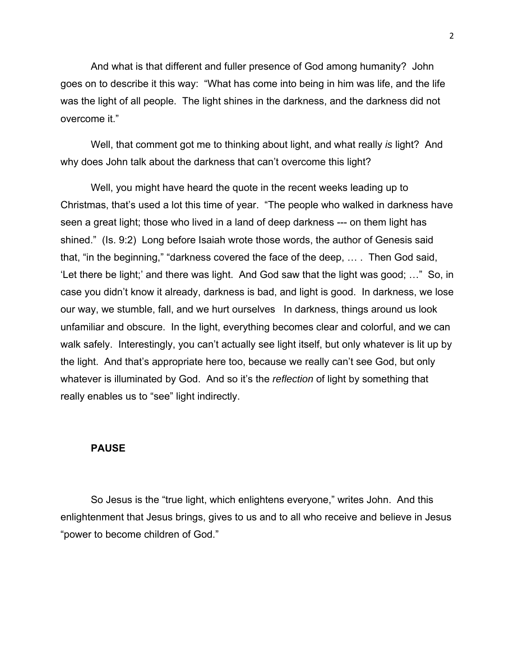And what is that different and fuller presence of God among humanity? John goes on to describe it this way: "What has come into being in him was life, and the life was the light of all people. The light shines in the darkness, and the darkness did not overcome it."

Well, that comment got me to thinking about light, and what really *is* light? And why does John talk about the darkness that can't overcome this light?

Well, you might have heard the quote in the recent weeks leading up to Christmas, that's used a lot this time of year. "The people who walked in darkness have seen a great light; those who lived in a land of deep darkness --- on them light has shined." (Is. 9:2) Long before Isaiah wrote those words, the author of Genesis said that, "in the beginning," "darkness covered the face of the deep, … . Then God said, 'Let there be light;' and there was light. And God saw that the light was good; …" So, in case you didn't know it already, darkness is bad, and light is good. In darkness, we lose our way, we stumble, fall, and we hurt ourselves In darkness, things around us look unfamiliar and obscure. In the light, everything becomes clear and colorful, and we can walk safely. Interestingly, you can't actually see light itself, but only whatever is lit up by the light. And that's appropriate here too, because we really can't see God, but only whatever is illuminated by God. And so it's the *reflection* of light by something that really enables us to "see" light indirectly.

### **PAUSE**

So Jesus is the "true light, which enlightens everyone," writes John. And this enlightenment that Jesus brings, gives to us and to all who receive and believe in Jesus "power to become children of God."